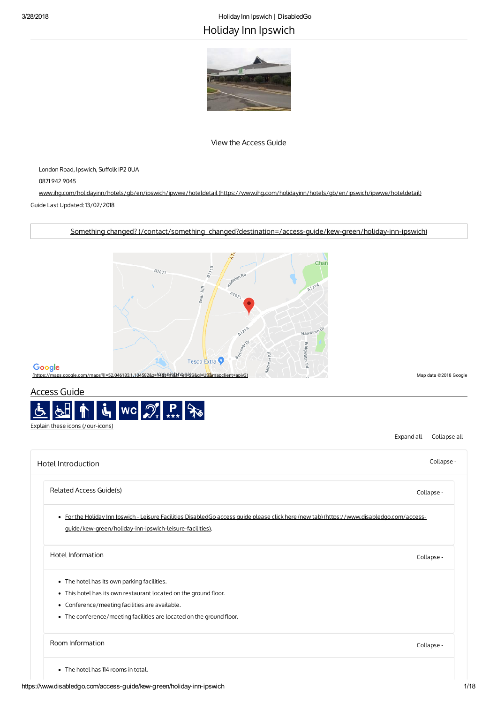# 3/28/2018 HolidayInn Ipswich | DisabledGo Holiday Inn Ipswich



# View the [Access](#page-0-0) Guide

London Road, Ipswich, Suffolk IP2 0UA

0871 942 9045

www.ihg.com/holidayinn/hotels/gb/en/ipswich/ipwwe/hoteldetail [\(https://www.ihg.com/holidayinn/hotels/gb/en/ipswich/ipwwe/hoteldetail\)](https://www.ihg.com/holidayinn/hotels/gb/en/ipswich/ipwwe/hoteldetail) Guide Last Updated: 13/02/2018

Something changed? [\(/contact/something\\_changed?destination=/access-guide/kew-green/holiday-inn-ipswich\)](https://www.disabledgo.com/contact/something_changed?destination=/access-guide/kew-green/holiday-inn-ipswich)



# Google

[\(https://maps.google.com/maps?ll=52.046183,1.104582&z=14&t=m&hl=en-US&gl=US&mapclient=apiv3\)](https://maps.google.com/maps?ll=52.046183,1.104582&z=14&t=m&hl=en-US&gl=US&mapclient=apiv3) Map data ©2018 Google

# <span id="page-0-0"></span>Access Guide



Expand all Collapse all

<span id="page-0-4"></span><span id="page-0-3"></span><span id="page-0-2"></span><span id="page-0-1"></span>

| Hotel Introduction                                                                                                                         | Collapse - |
|--------------------------------------------------------------------------------------------------------------------------------------------|------------|
| Related Access Guide(s)                                                                                                                    | Collapse - |
| . For the Holiday Inn Ipswich - Leisure Facilities DisabledGo access quide please click here (new tab) (https://www.disabledgo.com/access- |            |
| guide/kew-green/holiday-inn-ipswich-leisure-facilities).                                                                                   |            |
| Hotel Information                                                                                                                          | Collapse - |
| • The hotel has its own parking facilities.                                                                                                |            |
| • This hotel has its own restaurant located on the ground floor.                                                                           |            |
| • Conference/meeting facilities are available.                                                                                             |            |
| • The conference/meeting facilities are located on the ground floor.                                                                       |            |
| Room Information                                                                                                                           | Collapse - |
| • The hotel has 114 rooms in total.                                                                                                        |            |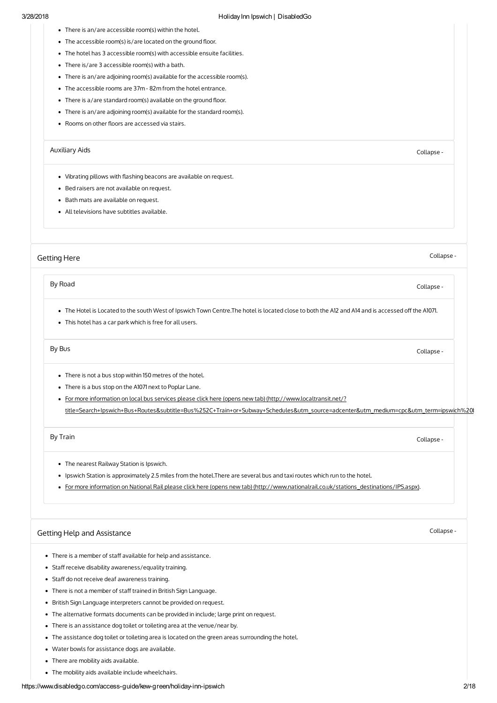- There is an/are accessible room(s) within the hotel.
- The accessible room(s) is/are located on the ground floor.
- The hotel has 3 accessible room(s) with accessible ensuite facilities.
- There is/are 3 accessible room(s) with a bath.
- There is an/are adjoining room(s) available for the accessible room(s).
- The accessible rooms are 37m 82m from the hotel entrance.
- $\bullet$  There is a/are standard room(s) available on the ground floor.
- There is an/are adjoining room(s) available for the standard room(s).
- Rooms on other floors are accessed via stairs.

### [Auxiliary](#page-1-2) Aids Collapse -

- <span id="page-1-2"></span>• Vibrating pillows with flashing beacons are available on request.
- Bed raisers are not available on request.
- Bath mats are available on request.
- All televisions have subtitles available.

### <span id="page-1-0"></span>[Getting](#page-1-0) Here

Collapse -

### By Road [Collapse](#page-1-3) -

- <span id="page-1-3"></span>. The Hotel is Located to the south West of Ipswich Town Centre.The hotel is located close to both the A12 and A14 and is accessed off the A1071.
- This hotel has a car park which is free for all users.

### By Bus [Collapse](#page-1-4) -

- <span id="page-1-4"></span>• There is not a bus stop within 150 metres of the hotel.
- There is a bus stop on the A1071 next to Poplar Lane.
- For more information on local bus services please click here (opens new tab) (http://www.localtransit.net/? [title=Search+Ipswich+Bus+Routes&subtitle=Bus%252C+Train+or+Subway+Schedules&utm\\_source=adcenter&utm\\_medium=cpc&utm\\_term=ipswich%20b](http://www.localtransit.net/?title=Search+Ipswich+Bus+Routes&subtitle=Bus%252C+Train+or+Subway+Schedules&utm_source=adcenter&utm_medium=cpc&utm_term=ipswich%20bus&utm_network=o&utm_campaign=BusCities&location=UK)

### By Train [Collapse](#page-1-5) -

- <span id="page-1-5"></span>The nearest Railway Station is Ipswich.
- Ipswich Station is approximately 2.5 miles from the hotel.There are several bus and taxiroutes which run to the hotel.
- For more information on National Rail please click here (opens new tab) [\(http://www.nationalrail.co.uk/stations\\_destinations/IPS.aspx\)](http://www.nationalrail.co.uk/stations_destinations/IPS.aspx).

#### <span id="page-1-1"></span>Getting Help and [Assistance](#page-1-1)

- There is a member of staff available for help and assistance.
- Staff receive disability awareness/equality training.
- Staff do not receive deaf awareness training.
- There is not a member of staff trained in British Sign Language.
- British Sign Language interpreters cannot be provided on request.
- The alternative formats documents can be provided in include; large print on request.
- There is an assistance dog toilet or toileting area at the venue/near by.
- The assistance dog toilet or toileting area is located on the green areas surrounding the hotel.
- Water bowls for assistance dogs are available.
- There are mobility aids available.
- The mobility aids available include wheelchairs.

# Collapse -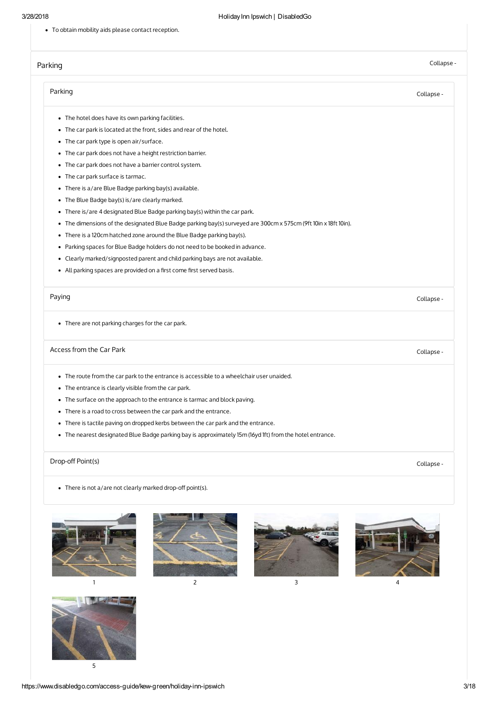To obtain mobility aids please contact reception.

# [Parking](#page-2-0)

# Collapse -

<span id="page-2-1"></span><span id="page-2-0"></span>

| Parking                                                                                                            | Collapse - |
|--------------------------------------------------------------------------------------------------------------------|------------|
| • The hotel does have its own parking facilities.                                                                  |            |
| • The car park is located at the front, sides and rear of the hotel.                                               |            |
| • The car park type is open air/surface.                                                                           |            |
| The car park does not have a height restriction barrier.<br>٠                                                      |            |
| The car park does not have a barrier control system.<br>٠                                                          |            |
| The car park surface is tarmac.<br>٠                                                                               |            |
| There is a/are Blue Badge parking bay(s) available.<br>٠                                                           |            |
| The Blue Badge bay(s) is/are clearly marked.<br>٠                                                                  |            |
| There is/are 4 designated Blue Badge parking bay(s) within the car park.<br>٠                                      |            |
| The dimensions of the designated Blue Badge parking bay(s) surveyed are 300cm x 575cm (9ft 10in x 18ft 10in).<br>٠ |            |
| There is a 120cm hatched zone around the Blue Badge parking bay(s).<br>٠                                           |            |
| Parking spaces for Blue Badge holders do not need to be booked in advance.<br>٠                                    |            |
| Clearly marked/signposted parent and child parking bays are not available.<br>٠                                    |            |
| All parking spaces are provided on a first come first served basis.<br>٠                                           |            |
| Paying                                                                                                             | Collapse - |
| • There are not parking charges for the car park.                                                                  |            |
| Access from the Car Park                                                                                           | Collapse - |
| • The route from the car park to the entrance is accessible to a wheelchair user unaided.                          |            |
| The entrance is clearly visible from the car park.<br>٠                                                            |            |
| The surface on the approach to the entrance is tarmac and block paving.<br>٠                                       |            |
| There is a road to cross between the car park and the entrance.<br>٠                                               |            |
| There is tactile paving on dropped kerbs between the car park and the entrance.<br>٠                               |            |
| The nearest designated Blue Badge parking bay is approximately 15m (16yd 1ft) from the hotel entrance.             |            |
| Drop-off Point(s)                                                                                                  | Collapse - |
| • There is not a/are not clearly marked drop-off point(s).                                                         |            |

<span id="page-2-4"></span><span id="page-2-3"></span><span id="page-2-2"></span>





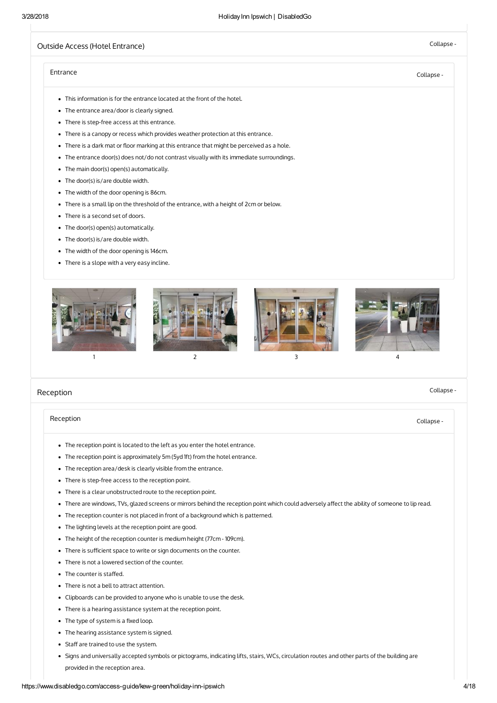# <span id="page-3-0"></span>Outside Access (Hotel [Entrance\)](#page-3-0) and the collapse - Collapse - Collapse - Collapse -

Collapse -

# [Entrance](#page-3-2) Collapse -

- <span id="page-3-2"></span>This information is for the entrance located at the front of the hotel.
- The entrance area/door is clearly signed.
- There is step-free access at this entrance.
- There is a canopy or recess which provides weather protection at this entrance.
- There is a dark mat or floor marking at this entrance that might be perceived as a hole.
- The entrance door(s) does not/do not contrast visually with its immediate surroundings.
- The main door(s) open(s) automatically.
- The door(s) is/are double width.
- The width of the door opening is 86cm.
- There is a small lip on the threshold of the entrance, with a height of 2cm or below.
- There is a second set of doors.
- The door(s) open(s) automatically.
- The door(s) is/are double width.
- The width of the door opening is 146cm.
- There is a slope with a very easy incline.



### <span id="page-3-1"></span>[Reception](#page-3-1)

# [Reception](#page-3-3) Collapse -

- <span id="page-3-3"></span>The reception point is located to the left as you enter the hotel entrance.
- The reception point is approximately 5m (5yd 1ft) from the hotel entrance.
- The reception area/desk is clearly visible from the entrance.
- There is step-free access to the reception point.
- There is a clear unobstructed route to the reception point.
- . There are windows, TVs, glazed screens or mirrors behind the reception point which could adversely affect the ability of someone to lip read.
- The reception counter is not placed in front of a background which is patterned.
- The lighting levels at the reception point are good.
- The height of the reception counter is medium height (77cm 109cm).
- There is sufficient space to write or sign documents on the counter.
- There is not a lowered section of the counter.
- $\bullet$  The counter is staffed.
- There is not a bell to attract attention.
- Clipboards can be provided to anyone who is unable to use the desk.
- There is a hearing assistance system at the reception point.
- $\bullet$  The type of system is a fixed loop.
- The hearing assistance system is signed.
- Staff are trained to use the system.
- Signs and universally accepted symbols or pictograms, indicating lifts, stairs, WCs, circulation routes and other parts of the building are provided in the reception area.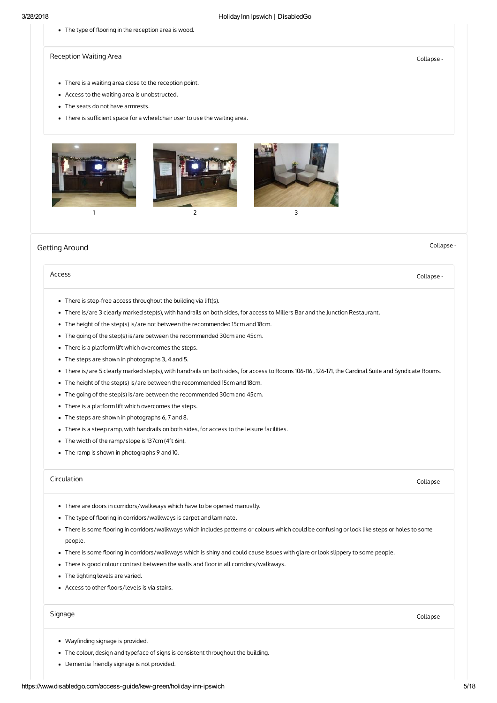• The type of flooring in the reception area is wood.

[Reception](#page-4-1) Waiting Area **Collapse** - Collapse - Collapse - Collapse - Collapse - Collapse -

- <span id="page-4-1"></span>There is a waiting area close to the reception point.
- Access to the waiting area is unobstructed.
- The seats do not have armrests.
- There is sufficient space for a wheelchair user to use the waiting area.



#### <span id="page-4-0"></span>Getting [Around](#page-4-0)

### [Access](#page-4-2) **Collapse - Collapse - Collapse - Collapse** - Collapse - Collapse - Collapse - Collapse - Collapse - Collapse -

- <span id="page-4-2"></span>There is step-free access throughout the building via lift(s).
- There is/are 3 clearly marked step(s), with handrails on both sides, for access to Millers Bar and the Junction Restaurant.
- The height of the step(s) is/are not between the recommended 15cm and 18cm.
- The going of the step(s) is/are between the recommended 30cm and 45cm.
- There is a platform lift which overcomes the steps.
- The steps are shown in photographs 3, 4 and 5.
- There is/are 5 clearly marked step(s), with handrails on both sides, for access to Rooms 106-116 , 126-171, the Cardinal Suite and Syndicate Rooms.
- The height of the step(s) is/are between the recommended 15cm and 18cm.
- The going of the step(s) is/are between the recommended 30cm and 45cm.
- There is a platform lift which overcomes the steps.
- The steps are shown in photographs 6, 7 and 8.
- There is a steep ramp, with handrails on both sides, for access to the leisure facilities.
- The width of the ramp/slope is 137cm (4ft 6in).
- The ramp is shown in photographs 9 and 10.

### [Circulation](#page-4-3) Collapse -

Collapse -

- <span id="page-4-3"></span>There are doors in corridors/walkways which have to be opened manually.
- The type of flooring in corridors/walkways is carpet and laminate.
- . There is some flooring in corridors/walkways which includes patterns or colours which could be confusing or look like steps or holes to some people.
- . There is some flooring in corridors/walkways which is shiny and could cause issues with glare or look slippery to some people.
- There is good colour contrast between the walls and floor in all corridors/walkways.
- The lighting levels are varied.
- Access to other floors/levels is via stairs.

# [Signage](#page-4-4) Collapse -

- <span id="page-4-4"></span>• Wayfinding signage is provided.
- The colour, design and typeface of signs is consistent throughout the building.
- Dementia friendly signage is not provided.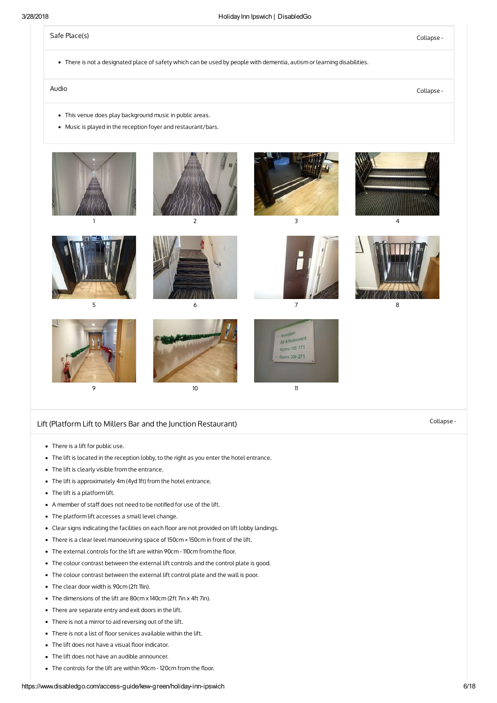# Safe [Place\(s\)](#page-5-1) Collapse -

<span id="page-5-1"></span>There is not a designated place of safety which can be used by people with dementia, autism or learning disabilities.

# Audio [Collapse](#page-5-2) -

- <span id="page-5-2"></span>This venue does play background music in public areas.
- Music is played in the reception foyer and restaurant/bars.



# <span id="page-5-0"></span>Lift (Platform Lift to Millers Bar and the Junction [Restaurant\)](#page-5-0) Collapse -

- There is a lift for public use.
- The lift is located in the reception lobby, to the right as you enter the hotel entrance.
- The lift is clearly visible from the entrance.
- The lift is approximately 4m (4yd 1ft) from the hotel entrance.
- The lift is a platform lift.
- A member of staff does not need to be notified for use of the lift.
- The platform lift accesses a small level change.
- Clear signs indicating the facilities on each floor are not provided on lift lobby landings.
- There is a clear level manoeuvring space of 150cm × 150cm in front of the lift.
- The external controls for the lift are within 90cm 110cm from the floor.
- The colour contrast between the external lift controls and the control plate is good.
- The colour contrast between the external lift control plate and the wall is poor.
- The clear door width is 90cm (2ft 11in).
- The dimensions of the lift are 80cm x 140cm (2ft 7in x 4ft 7in).
- There are separate entry and exit doors in the lift.
- There is not a mirror to aid reversing out of the lift.
- There is not a list of floor services available within the lift.
- $\bullet$  The lift does not have a visual floor indicator.
- The lift does not have an audible announcer.  $\bullet$
- The controls for the lift are within 90cm 120cm from the floor.

#### https://www.disabledgo.com/access-guide/kew-green/holiday-inn-ipswich 6/18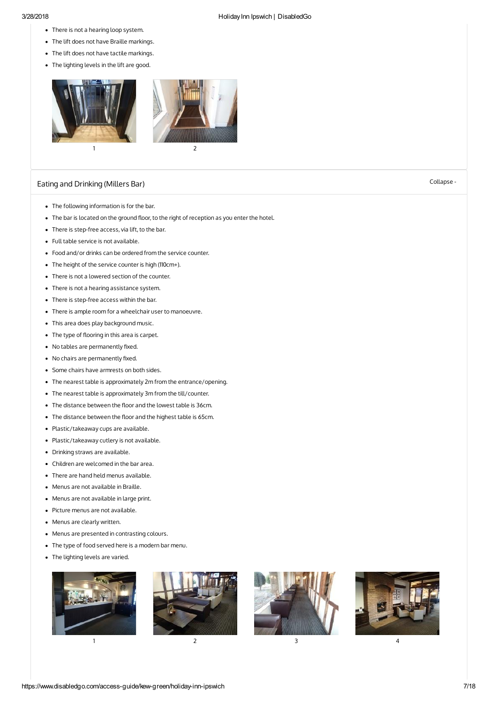- 3/28/2018 HolidayInn Ipswich | DisabledGo
	- There is not a hearing loop system.
	- The lift does not have Braille markings.
	- The lift does not have tactile markings.
	- The lighting levels in the lift are good.



# Eating and [Drinking](#page-6-0) (Millers Bar) Collapse -

- 
- <span id="page-6-0"></span>The following information is for the bar.
- The bar is located on the ground floor, to the right of reception as you enter the hotel.
- There is step-free access, via lift, to the bar.
- Full table service is not available.
- Food and/or drinks can be ordered from the service counter.
- The height of the service counter is high (110cm+).
- There is not a lowered section of the counter.
- There is not a hearing assistance system.
- There is step-free access within the bar.
- There is ample room for a wheelchair user to manoeuvre.
- This area does play background music.
- $\bullet$  The type of flooring in this area is carpet.
- $\bullet$  No tables are permanently fixed.
- $\bullet$  No chairs are permanently fixed.
- Some chairs have armrests on both sides.
- The nearest table is approximately 2m from the entrance/opening.
- The nearest table is approximately 3m from the till/counter.
- The distance between the floor and the lowest table is 36cm.
- The distance between the floor and the highest table is 65cm.
- Plastic/takeaway cups are available.
- Plastic/takeaway cutlery is not available.
- Drinking straws are available.
- Children are welcomed in the bar area.
- There are hand held menus available.
- Menus are not available in Braille.
- Menus are not available in large print.
- Picture menus are not available.
- Menus are clearly written.
- Menus are presented in contrasting colours.
- The type of food served here is a modern bar menu.
- The lighting levels are varied.





1 and  $\overline{2}$  3 3 4

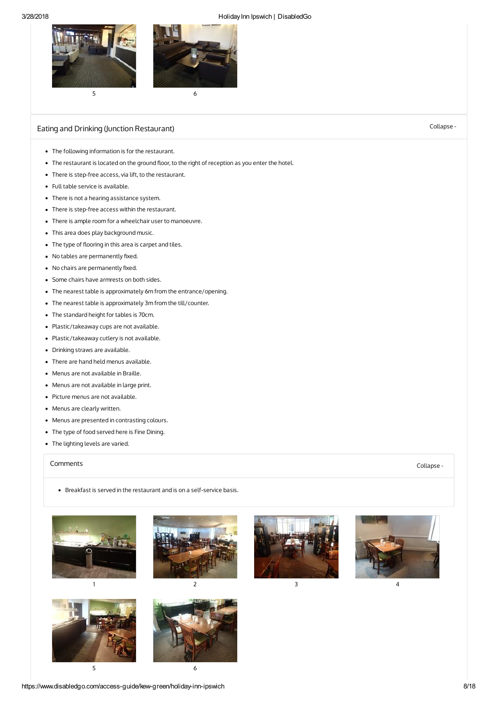

# Eating and Drinking (Junction [Restaurant\)](#page-7-0) Collapse -

- <span id="page-7-0"></span>The following information is for the restaurant.
- The restaurant is located on the ground floor, to the right of reception as you enter the hotel.
- There is step-free access, via lift, to the restaurant.
- Full table service is available.
- There is not a hearing assistance system.
- There is step-free access within the restaurant.
- There is ample room for a wheelchair user to manoeuvre.
- This area does play background music.
- The type of flooring in this area is carpet and tiles.
- $\bullet$  No tables are permanently fixed.
- $\bullet$  No chairs are permanently fixed.
- Some chairs have armrests on both sides.
- The nearest table is approximately 6m from the entrance/opening.
- The nearest table is approximately 3m from the till/counter.
- The standard height for tables is 70cm.
- Plastic/takeaway cups are not available.
- Plastic/takeaway cutlery is not available.
- Drinking straws are available.
- There are hand held menus available.
- Menus are not available in Braille.
- Menus are not available in large print.
- Picture menus are not available.
- Menus are clearly written.
- Menus are presented in contrasting colours.
- The type of food served here is Fine Dining.
- The lighting levels are varied.

### [Comments](#page-7-1) Collapse -

<span id="page-7-1"></span>Breakfast is served in the restaurant and is on a self-service basis.















https://www.disabledgo.com/access-guide/kew-green/holiday-inn-ipswich 8/18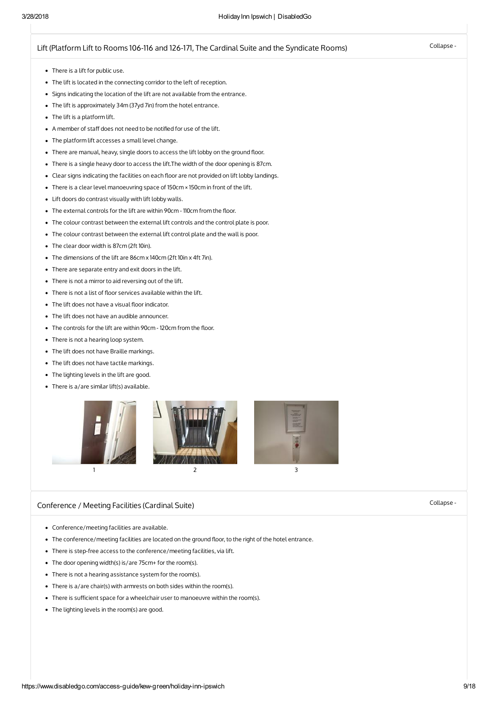# Lift (Platform Lift to Rooms 106-116 and 126-171, The Cardinal Suite and the [Syndicate](#page-8-0) Rooms) Collapse -

- <span id="page-8-0"></span>There is a lift for public use.
- The lift is located in the connecting corridor to the left of reception.
- Signs indicating the location of the lift are not available from the entrance.
- The lift is approximately 34m (37yd 7in) from the hotel entrance.
- The lift is a platform lift.
- A member of staff does not need to be notified for use of the lift.
- The platform lift accesses a small level change.
- There are manual, heavy, single doors to access the lift lobby on the ground floor.
- There is a single heavy door to access the lift.The width of the door opening is 87cm.
- Clear signs indicating the facilities on each floor are not provided on lift lobby landings.
- There is a clear level manoeuvring space of 150cm × 150cm in front of the lift.
- Lift doors do contrast visually with lift lobby walls.
- The external controls for the lift are within 90cm 110cm from the floor.
- The colour contrast between the external lift controls and the control plate is poor.
- The colour contrast between the external lift control plate and the wall is poor.
- The clear door width is 87cm (2ft 10in).
- The dimensions of the lift are 86cm x 140cm (2ft 10in x 4ft 7in).
- There are separate entry and exit doors in the lift.
- There is not a mirror to aid reversing out of the lift.
- There is not a list of floor services available within the lift.
- The lift does not have a visual floor indicator.
- The lift does not have an audible announcer.
- The controls for the lift are within 90cm 120cm from the floor.
- There is not a hearing loop system.
- The lift does not have Braille markings.
- The lift does not have tactile markings.
- The lighting levels in the lift are good.
- There is a/are similar lift(s) available.



# <span id="page-8-1"></span>[Conference](#page-8-1) / Meeting Facilities (Cardinal Suite) Collapse - Collapse - Collapse -

- Conference/meeting facilities are available.
- The conference/meeting facilities are located on the ground floor, to the right of the hotel entrance.
- There is step-free access to the conference/meeting facilities, via lift.
- The door opening width(s) is/are 75cm+ for the room(s).
- There is not a hearing assistance system for the room(s).
- There is a/are chair(s) with armrests on both sides within the room(s).
- There is sufficient space for a wheelchair user to manoeuvre within the room(s).
- The lighting levels in the room(s) are good.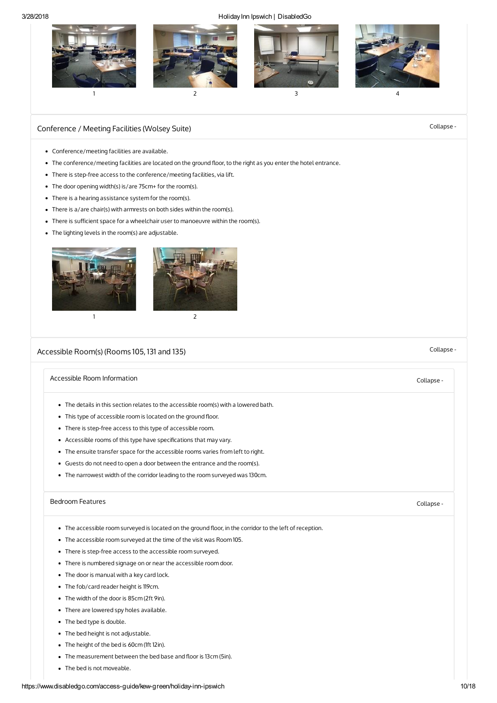

# <span id="page-9-0"></span>[Conference](#page-9-0) / Meeting Facilities (Wolsey Suite) Collapse - Collapse - Collapse -

- Conference/meeting facilities are available.
- The conference/meeting facilities are located on the ground floor, to the right as you enter the hotel entrance.
- There is step-free access to the conference/meeting facilities, via lift.
- The door opening width(s) is/are 75cm+ for the room(s).
- There is a hearing assistance system for the room(s).
- There is a/are chair(s) with armrests on both sides within the room(s).
- There is sufficient space for a wheelchair user to manoeuvre within the room(s).
- The lighting levels in the room(s) are adjustable.



# <span id="page-9-1"></span>[Accessible](#page-9-1) Room(s) (Rooms 105, 131 and 135) Collapse -

# Accessible Room [Information](#page-9-2) **Collapse** - Accessible Room Information **Collapse** - Collapse -

- <span id="page-9-2"></span>The details in this section relates to the accessible room(s) with a lowered bath.
- This type of accessible room is located on the ground floor.
- There is step-free access to this type of accessible room.
- Accessible rooms of this type have specifications that may vary.
- The ensuite transfer space for the accessible rooms varies from left to right.
- Guests do not need to open a door between the entrance and the room(s).
- The narrowest width of the corridor leading to the room surveyed was 130cm.

# [Bedroom](#page-9-3) Features Collapse -

- <span id="page-9-3"></span>• The accessible room surveyed is located on the ground floor, in the corridor to the left of reception.
- The accessible room surveyed at the time of the visit was Room 105.
- There is step-free access to the accessible room surveyed.
- There is numbered signage on or near the accessible room door.
- The door is manual with a key card lock.
- The fob/card reader height is 119cm.
- The width of the door is 85cm (2ft 9in).
- There are lowered spy holes available.
- The bed type is double.
- The bed height is not adjustable.
- The height of the bed is 60cm (1ft 12in).
- $\bullet$  The measurement between the bed base and floor is 13cm (5in).
- The bed is not moveable.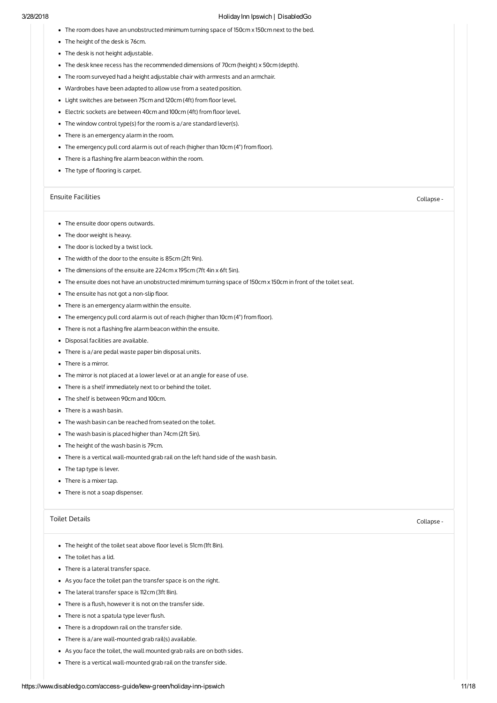- The room does have an unobstructed minimum turning space of 150cm x 150cm next to the bed.
- The height of the desk is 76cm.
- The desk is not height adjustable.
- The desk knee recess has the recommended dimensions of 70cm (height) x 50cm (depth).
- The room surveyed had a height adjustable chair with armrests and an armchair.
- Wardrobes have been adapted to allow use from a seated position.
- Light switches are between 75cm and 120cm (4ft) from floor level.
- Electric sockets are between 40cm and 100cm (4ft) from floor level.
- The window control type(s) for the room is a/are standard lever(s).
- There is an emergency alarm in the room.
- $\bullet$  The emergency pull cord alarm is out of reach (higher than 10cm (4") from floor).
- $\bullet$  There is a flashing fire alarm beacon within the room.
- The type of flooring is carpet.

### Ensuite [Facilities](#page-10-0) Collapse -

- <span id="page-10-0"></span>• The ensuite door opens outwards.
- The door weight is heavy.
- The door is locked by a twist lock.
- The width of the door to the ensuite is 85cm (2ft 9in).
- The dimensions of the ensuite are 224cm x 195cm (7ft 4in x 6ft 5in).
- The ensuite does not have an unobstructed minimum turning space of 150cm x 150cm in front of the toilet seat.
- The ensuite has not got a non-slip floor.
- There is an emergency alarm within the ensuite.
- The emergency pull cord alarm is out of reach (higher than 10cm (4") from floor).
- $\bullet$  There is not a flashing fire alarm beacon within the ensuite.
- Disposal facilities are available.
- There is a/are pedal waste paper bin disposal units.
- There is a mirror.
- The mirror is not placed at a lower level or at an angle for ease of use.
- There is a shelf immediately next to or behind the toilet.
- The shelf is between 90cm and 100cm.
- There is a wash basin.
- The wash basin can be reached from seated on the toilet.
- The wash basin is placed higher than 74cm (2ft 5in).
- The height of the wash basin is 79cm.
- There is a vertical wall-mounted grab rail on the left hand side of the wash basin.
- The tap type is lever.
- There is a mixer tap.
- There is not a soap dispenser.

### Toilet [Details](#page-10-1) Collapse -

- <span id="page-10-1"></span>• The height of the toilet seat above floor level is 51cm (1ft 8in).
- The toilet has a lid.
- There is a lateral transfer space.
- As you face the toilet pan the transfer space is on the right.
- The lateral transfer space is 112cm (3ft 8in).
- There is a flush, however it is not on the transfer side.
- There is not a spatula type lever flush.
- There is a dropdown rail on the transfer side.
- There is a/are wall-mounted grab rail(s) available.
- As you face the toilet, the wall mounted grab rails are on both sides.
- There is a vertical wall-mounted grab rail on the transfer side.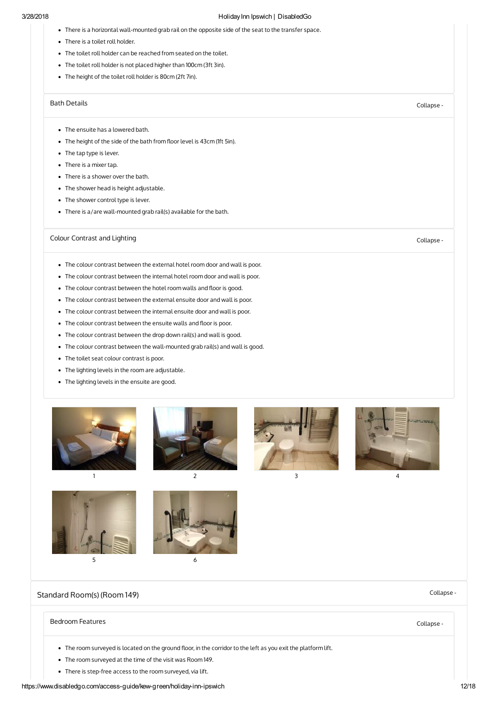- There is a horizontal wall-mounted grab rail on the opposite side of the seat to the transfer space.
- There is a toilet roll holder.
- The toilet roll holder can be reached from seated on the toilet.
- The toilet roll holder is not placed higher than 100cm (3ft 3in).
- The height of the toilet roll holder is 80cm (2ft 7in).

### Bath [Details](#page-11-1) Collapse -

- <span id="page-11-1"></span>The ensuite has a lowered bath.
- The height of the side of the bath from floor level is 43cm (1ft 5in).
- The tap type is lever.
- There is a mixer tap.
- There is a shower over the bath.
- The shower head is height adjustable.
- The shower control type is lever.
- There is a/are wall-mounted grab rail(s) available for the bath.

# Colour [Contrast](#page-11-2) and Lighting Collapse - Collapse - Collapse - Collapse - Collapse -

- <span id="page-11-2"></span>The colour contrast between the external hotel room door and wall is poor.
- The colour contrast between the internal hotel room door and wall is poor.
- The colour contrast between the hotel room walls and floor is good.
- The colour contrast between the external ensuite door and wall is poor.
- The colour contrast between the internal ensuite door and wall is poor.
- The colour contrast between the ensuite walls and floor is poor.
- The colour contrast between the drop down rail(s) and wall is good.
- The colour contrast between the wall-mounted grab rail(s) and wall is good.
- The toilet seat colour contrast is poor.
- The lighting levels in the room are adjustable.
- The lighting levels in the ensuite are good.















 $5$  6

# <span id="page-11-0"></span>[Standard](#page-11-0) Room(s) (Room 149) Collapse - Collapse - Collapse - Collapse - Collapse -

### [Bedroom](#page-11-3) Features Collapse -

- <span id="page-11-3"></span>• The room surveyed is located on the ground floor, in the corridor to the left as you exit the platform lift.
- The room surveyed at the time of the visit was Room 149.
- There is step-free access to the room surveyed, via lift.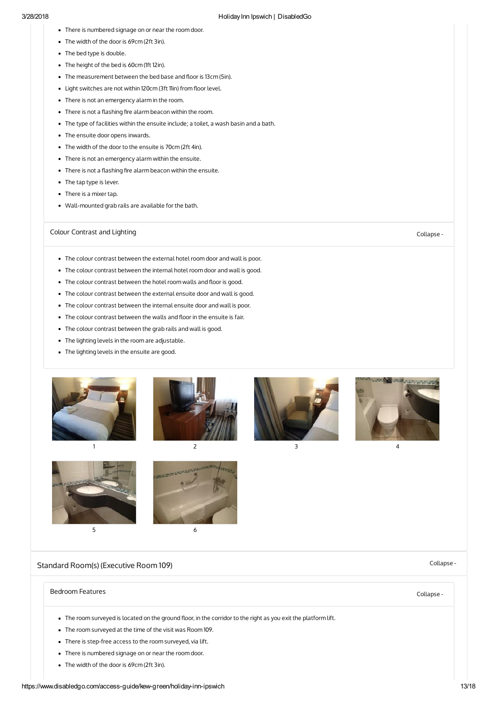- There is numbered signage on or near the room door.
- The width of the door is 69cm (2ft 3in).
- The bed type is double.
- The height of the bed is 60cm (1ft 12in).
- The measurement between the bed base and floor is 13cm (5in).
- Light switches are not within 120cm (3ft 11in) from floor level.
- There is not an emergency alarm in the room.
- $\bullet$  There is not a flashing fire alarm beacon within the room.
- The type of facilities within the ensuite include; a toilet, a wash basin and a bath.
- The ensuite door opens inwards.
- The width of the door to the ensuite is 70cm (2ft 4in).
- There is not an emergency alarm within the ensuite.
- $\bullet$  There is not a flashing fire alarm beacon within the ensuite.
- The tap type is lever.
- There is a mixer tap.
- Wall-mounted grab rails are available for the bath.

# Colour [Contrast](#page-12-1) and Lighting Collapse - Collapse - Collapse - Collapse - Collapse -

- <span id="page-12-1"></span>The colour contrast between the external hotel room door and wall is poor.
- The colour contrast between the internal hotel room door and wall is good.
- The colour contrast between the hotel room walls and floor is good.
- The colour contrast between the external ensuite door and wall is good.
- The colour contrast between the internal ensuite door and wall is poor.
- $\bullet$  The colour contrast between the walls and floor in the ensuite is fair.
- The colour contrast between the grab rails and wall is good.
- The lighting levels in the room are adjustable.
- The lighting levels in the ensuite are good.













<span id="page-12-0"></span>Standard Room(s) [\(Executive](#page-12-0) Room 109) Collapse -

# [Bedroom](#page-12-2) Features Collapse -

- <span id="page-12-2"></span>• The room surveyed is located on the ground floor, in the corridor to the right as you exit the platform lift.
- The room surveyed at the time of the visit was Room 109.
- There is step-free access to the room surveyed, via lift.
- There is numbered signage on or near the room door.
- The width of the door is 69cm (2ft 3in).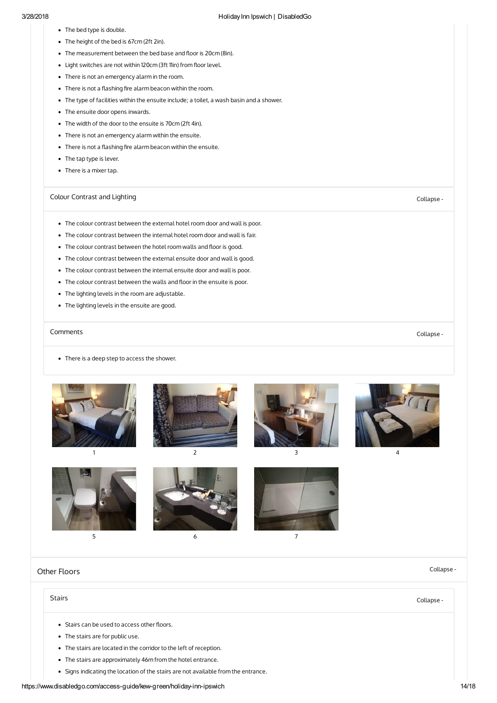- The bed type is double.
- The height of the bed is 67cm (2ft 2in).
- The measurement between the bed base and floor is 20cm (8in).
- Light switches are not within 120cm (3ft 11in) from floor level.
- There is not an emergency alarm in the room.
- There is not a flashing fire alarm beacon within the room.
- The type of facilities within the ensuite include; a toilet, a wash basin and a shower.
- The ensuite door opens inwards.
- The width of the door to the ensuite is 70cm (2ft 4in).
- There is not an emergency alarm within the ensuite.
- $\bullet$  There is not a flashing fire alarm beacon within the ensuite.
- The tap type is lever.
- There is a mixer tap.

# Colour [Contrast](#page-13-1) and Lighting Collapse - Collapse - Collapse - Collapse - Collapse -

- <span id="page-13-1"></span>The colour contrast between the external hotel room door and wall is poor.
- The colour contrast between the internal hotel room door and wall is fair.
- The colour contrast between the hotel room walls and floor is good.
- The colour contrast between the external ensuite door and wall is good.
- The colour contrast between the internal ensuite door and wall is poor.
- The colour contrast between the walls and floor in the ensuite is poor.
- The lighting levels in the room are adjustable.
- The lighting levels in the ensuite are good.

# [Comments](#page-13-2) Collapse -

<span id="page-13-2"></span>• There is a deep step to access the shower.















<span id="page-13-0"></span>Other [Floors](#page-13-0) Collapse -

### Stairs [Collapse](#page-13-3) -

- <span id="page-13-3"></span>• Stairs can be used to access other floors.
- The stairs are for public use.
- The stairs are located in the corridor to the left of reception.
- The stairs are approximately 46m from the hotel entrance.
- Signs indicating the location of the stairs are not available from the entrance.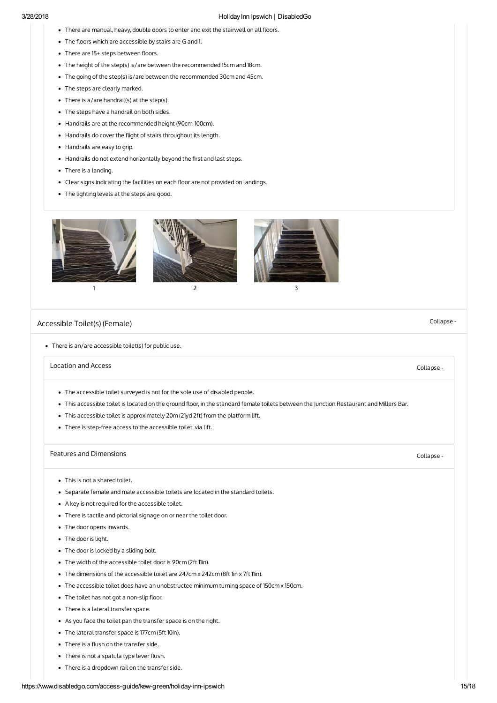- There are manual, heavy, double doors to enter and exit the stairwell on all floors.
- The floors which are accessible by stairs are G and 1.
- There are 15+ steps between floors.
- The height of the step(s) is/are between the recommended 15cm and 18cm.
- The going of the step(s) is/are between the recommended 30cm and 45cm.
- The steps are clearly marked.
- There is a/are handrail(s) at the step(s).
- The steps have a handrail on both sides.
- Handrails are at the recommended height (90cm-100cm).
- Handrails do cover the flight of stairs throughout its length.
- Handrails are easy to grip.
- Handrails do not extend horizontally beyond the first and last steps.
- There is a landing.
- Clear signs indicating the facilities on each floor are not provided on landings.
- The lighting levels at the steps are good.







[Accessible](#page-14-0) Toilet(s) (Female) Collapse -

<span id="page-14-0"></span>There is an/are accessible toilet(s) for public use.

### [Location](#page-14-1) and Access Collapse -

- <span id="page-14-1"></span>The accessible toilet surveyed is not for the sole use of disabled people.
- . This accessible toilet is located on the ground floor, in the standard female toilets between the Junction Restaurant and Millers Bar.
- This accessible toilet is approximately 20m (21yd 2ft) from the platform lift.
- There is step-free access to the accessible toilet, via lift.

# Features and [Dimensions](#page-14-2) **Collapse** -

- <span id="page-14-2"></span>This is not a shared toilet.
- Separate female and male accessible toilets are located in the standard toilets.
- A key is not required for the accessible toilet.
- There is tactile and pictorial signage on or near the toilet door.
- The door opens inwards.
- The door is light.
- The door is locked by a sliding bolt.
- The width of the accessible toilet door is 90cm (2ft 11in).
- The dimensions of the accessible toilet are 247cm x 242cm (8ft 1in x 7ft 11in).
- The accessible toilet does have an unobstructed minimum turning space of 150cm x 150cm.
- $\bullet$  The toilet has not got a non-slip floor.
- There is a lateral transfer space.
- As you face the toilet pan the transfer space is on the right.
- The lateral transfer space is 177cm (5ft 10in).
- $\bullet$  There is a flush on the transfer side.
- There is not a spatula type lever flush.
- There is a dropdown rail on the transfer side.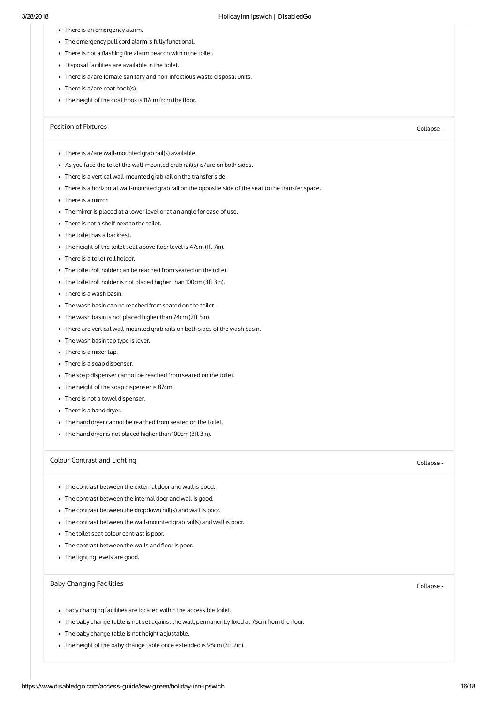- There is an emergency alarm.
- The emergency pull cord alarm is fully functional.
- $\bullet$  There is not a flashing fire alarm beacon within the toilet.
- Disposal facilities are available in the toilet.
- There is a/are female sanitary and non-infectious waste disposal units.
- There is a/are coat hook(s).
- The height of the coat hook is 117cm from the floor.

# Position of [Fixtures](#page-15-0) Collapse -

- <span id="page-15-0"></span>There is a/are wall-mounted grab rail(s) available.
- As you face the toilet the wall-mounted grab rail(s) is/are on both sides.
- There is a vertical wall-mounted grab rail on the transfer side.
- There is a horizontal wall-mounted grab rail on the opposite side of the seat to the transfer space.
- There is a mirror.
- The mirror is placed at a lower level or at an angle for ease of use.
- There is not a shelf next to the toilet.
- The toilet has a backrest.
- The height of the toilet seat above floor level is 47cm (1ft 7in).
- There is a toilet roll holder.
- The toilet roll holder can be reached from seated on the toilet.
- The toilet roll holder is not placed higher than 100cm (3ft 3in).
- There is a wash basin.
- The wash basin can be reached from seated on the toilet.
- The wash basin is not placed higher than 74cm (2ft 5in).
- There are vertical wall-mounted grab rails on both sides of the wash basin.
- The wash basin tap type is lever.
- There is a mixer tap.
- There is a soap dispenser.
- The soap dispenser cannot be reached from seated on the toilet.
- The height of the soap dispenser is 87cm.
- There is not a towel dispenser.
- There is a hand dryer.
- The hand dryer cannot be reached from seated on the toilet.
- The hand dryer is not placed higher than 100cm (3ft 3in).

# Colour [Contrast](#page-15-1) and Lighting Collapse - Collapse - Collapse - Collapse - Collapse -

- <span id="page-15-1"></span>The contrast between the external door and wall is good.
- The contrast between the internal door and wall is good.
- The contrast between the dropdown rail(s) and wall is poor.
- The contrast between the wall-mounted grab rail(s) and wall is poor.
- The toilet seat colour contrast is poor.
- The contrast between the walls and floor is poor.
- The lighting levels are good.

# Baby [Changing](#page-15-2) Facilities **Collapse** - Collapse - Collapse - Collapse - Collapse -

- <span id="page-15-2"></span>Baby changing facilities are located within the accessible toilet.
- The baby change table is not set against the wall, permanently fixed at 75cm from the floor.
- The baby change table is not height adjustable.
- The height of the baby change table once extended is 96cm (3ft 2in).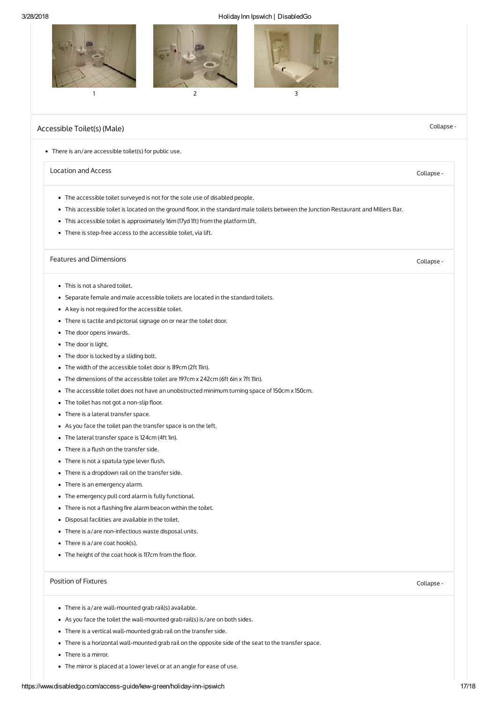

# <span id="page-16-0"></span>[Accessible](#page-16-0) Toilet(s) (Male) Collapse -

#### There is an/are accessible toilet(s) for public use.

# [Location](#page-16-1) and Access Collapse -

- <span id="page-16-1"></span>The accessible toilet surveyed is not for the sole use of disabled people.
- . This accessible toilet is located on the ground floor, in the standard male toilets between the Junction Restaurant and Millers Bar.
- This accessible toilet is approximately 16m (17yd 1ft) from the platform lift.
- There is step-free access to the accessible toilet, via lift.

# Features and [Dimensions](#page-16-2) **Collapse** -

- <span id="page-16-2"></span>This is not a shared toilet.
- Separate female and male accessible toilets are located in the standard toilets.
- A key is not required for the accessible toilet.
- There is tactile and pictorial signage on or near the toilet door.
- The door opens inwards.
- The door is light.
- The door is locked by a sliding bolt.
- The width of the accessible toilet door is 89cm (2ft 11in).
- The dimensions of the accessible toilet are 197cm x 242cm (6ft 6in x 7ft 11in).
- The accessible toilet does not have an unobstructed minimum turning space of 150cm x 150cm.
- The toilet has not got a non-slip floor.
- There is a lateral transfer space.
- As you face the toilet pan the transfer space is on the left.
- The lateral transfer space is 124cm (4ft 1in).
- $\bullet$  There is a flush on the transfer side.
- There is not a spatula type lever flush.
- There is a dropdown rail on the transfer side.
- There is an emergency alarm.
- The emergency pull cord alarm is fully functional.
- $\bullet$  There is not a flashing fire alarm beacon within the toilet.
- Disposal facilities are available in the toilet.
- There is a/are non-infectious waste disposal units.
- There is a/are coat hook(s).
- The height of the coat hook is 117cm from the floor.

### Position of [Fixtures](#page-16-3) Collapse -

- <span id="page-16-3"></span>There is a/are wall-mounted grab rail(s) available.
- As you face the toilet the wall-mounted grab rail(s) is/are on both sides.
- There is a vertical wall-mounted grab rail on the transfer side.
- There is a horizontal wall-mounted grab rail on the opposite side of the seat to the transfer space.
- There is a mirror.
- The mirror is placed at a lower level or at an angle for ease of use.